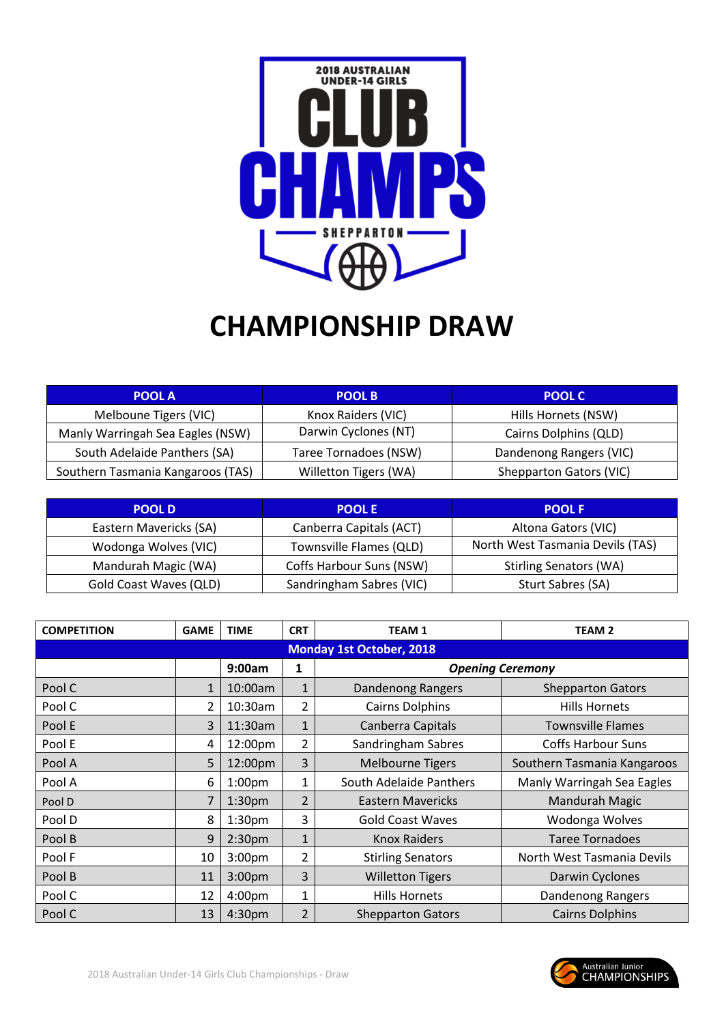

## **CHAMPIONSHIP DRAW**

| <b>POOL A</b>                     | <b>POOL B</b>         | <b>POOL C</b>           |
|-----------------------------------|-----------------------|-------------------------|
| Melboune Tigers (VIC)             | Knox Raiders (VIC)    | Hills Hornets (NSW)     |
| Manly Warringah Sea Eagles (NSW)  | Darwin Cyclones (NT)  | Cairns Dolphins (QLD)   |
| South Adelaide Panthers (SA)      | Taree Tornadoes (NSW) | Dandenong Rangers (VIC) |
| Southern Tasmania Kangaroos (TAS) | Willetton Tigers (WA) | Shepparton Gators (VIC) |

| <b>POOLD</b>           | <b>POOLE</b>             | <b>POOL F</b>                    |
|------------------------|--------------------------|----------------------------------|
| Eastern Mavericks (SA) | Canberra Capitals (ACT)  | Altona Gators (VIC)              |
| Wodonga Wolves (VIC)   | Townsville Flames (QLD)  | North West Tasmania Devils (TAS) |
| Mandurah Magic (WA)    | Coffs Harbour Suns (NSW) | <b>Stirling Senators (WA)</b>    |
| Gold Coast Waves (QLD) | Sandringham Sabres (VIC) | Sturt Sabres (SA)                |

| <b>COMPETITION</b>              | <b>GAME</b> | <b>TIME</b>        | <b>CRT</b>     | <b>TEAM 1</b>            | <b>TEAM 2</b>               |  |  |  |  |
|---------------------------------|-------------|--------------------|----------------|--------------------------|-----------------------------|--|--|--|--|
| <b>Monday 1st October, 2018</b> |             |                    |                |                          |                             |  |  |  |  |
|                                 |             | 9:00am             | 1              | <b>Opening Ceremony</b>  |                             |  |  |  |  |
| Pool C                          | 1           | 10:00am            | $\mathbf{1}$   | Dandenong Rangers        | <b>Shepparton Gators</b>    |  |  |  |  |
| Pool C                          | 2           | 10:30am            | 2              | <b>Cairns Dolphins</b>   | <b>Hills Hornets</b>        |  |  |  |  |
| Pool E                          | 3           | 11:30am            | $\mathbf{1}$   | Canberra Capitals        | <b>Townsville Flames</b>    |  |  |  |  |
| Pool E                          | 4           | 12:00pm            | 2              | Sandringham Sabres       | <b>Coffs Harbour Suns</b>   |  |  |  |  |
| Pool A                          | 5           | 12:00pm            | 3              | <b>Melbourne Tigers</b>  | Southern Tasmania Kangaroos |  |  |  |  |
| Pool A                          | 6           | 1:00 <sub>pm</sub> | $\mathbf{1}$   | South Adelaide Panthers  | Manly Warringah Sea Eagles  |  |  |  |  |
| Pool D                          | 7           | 1:30 <sub>pm</sub> | $\overline{2}$ | <b>Eastern Mavericks</b> | Mandurah Magic              |  |  |  |  |
| Pool D                          | 8           | 1:30 <sub>pm</sub> | 3              | <b>Gold Coast Waves</b>  | Wodonga Wolves              |  |  |  |  |
| Pool B                          | 9           | 2:30 <sub>pm</sub> | $\mathbf{1}$   | <b>Knox Raiders</b>      | <b>Taree Tornadoes</b>      |  |  |  |  |
| Pool F                          | 10          | 3:00 <sub>pm</sub> | $\overline{2}$ | <b>Stirling Senators</b> | North West Tasmania Devils  |  |  |  |  |
| Pool B                          | 11          | 3:00 <sub>pm</sub> | $\overline{3}$ | <b>Willetton Tigers</b>  | Darwin Cyclones             |  |  |  |  |
| Pool C                          | 12          | 4:00 <sub>pm</sub> | $\mathbf{1}$   | <b>Hills Hornets</b>     | Dandenong Rangers           |  |  |  |  |
| Pool C                          | 13          | 4:30pm             | $\overline{2}$ | <b>Shepparton Gators</b> | <b>Cairns Dolphins</b>      |  |  |  |  |

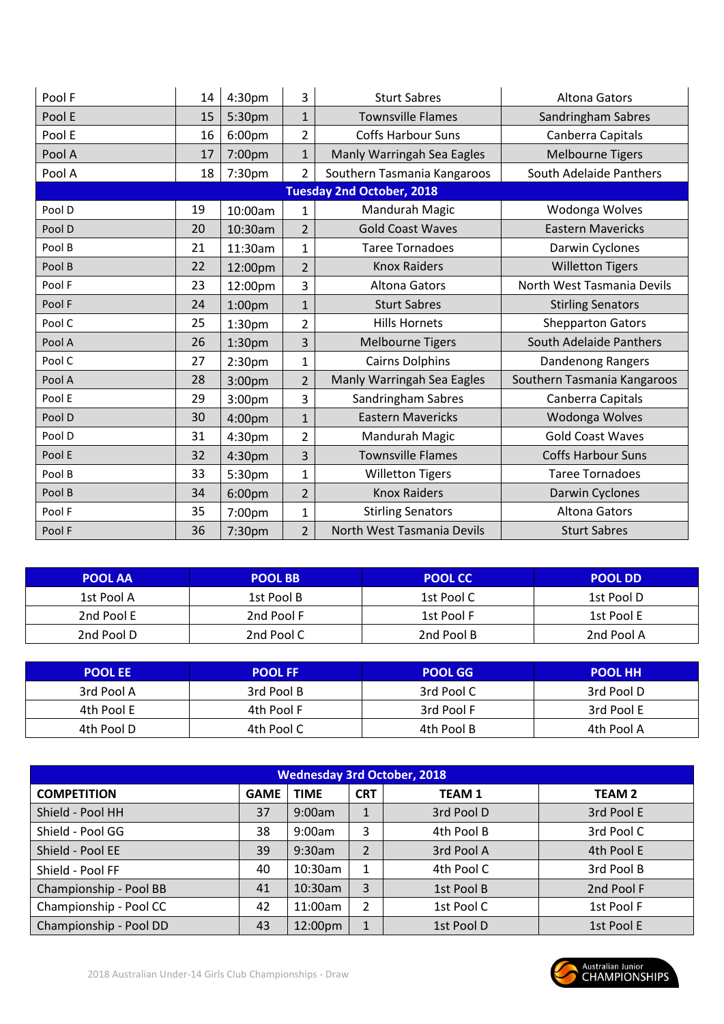| Pool F | 14 | 4:30pm             | 3              | <b>Sturt Sabres</b>              | <b>Altona Gators</b>        |
|--------|----|--------------------|----------------|----------------------------------|-----------------------------|
| Pool E | 15 | 5:30pm             | $\mathbf{1}$   | <b>Townsville Flames</b>         | Sandringham Sabres          |
| Pool E | 16 | 6:00pm             | $\overline{2}$ | <b>Coffs Harbour Suns</b>        | Canberra Capitals           |
| Pool A | 17 | 7:00pm             | $\mathbf{1}$   | Manly Warringah Sea Eagles       | <b>Melbourne Tigers</b>     |
| Pool A | 18 | 7:30pm             | $\overline{2}$ | Southern Tasmania Kangaroos      | South Adelaide Panthers     |
|        |    |                    |                | <b>Tuesday 2nd October, 2018</b> |                             |
| Pool D | 19 | 10:00am            | 1              | Mandurah Magic                   | Wodonga Wolves              |
| Pool D | 20 | 10:30am            | 2              | <b>Gold Coast Waves</b>          | <b>Eastern Mavericks</b>    |
| Pool B | 21 | 11:30am            | $\mathbf 1$    | <b>Taree Tornadoes</b>           | Darwin Cyclones             |
| Pool B | 22 | 12:00pm            | $\overline{2}$ | <b>Knox Raiders</b>              | <b>Willetton Tigers</b>     |
| Pool F | 23 | 12:00pm            | 3              | <b>Altona Gators</b>             | North West Tasmania Devils  |
| Pool F | 24 | 1:00 <sub>pm</sub> | $\mathbf{1}$   | <b>Sturt Sabres</b>              | <b>Stirling Senators</b>    |
| Pool C | 25 | 1:30pm             | 2              | <b>Hills Hornets</b>             | <b>Shepparton Gators</b>    |
| Pool A | 26 | 1:30pm             | 3              | <b>Melbourne Tigers</b>          | South Adelaide Panthers     |
| Pool C | 27 | 2:30pm             | 1              | <b>Cairns Dolphins</b>           | Dandenong Rangers           |
| Pool A | 28 | 3:00pm             | $\overline{2}$ | Manly Warringah Sea Eagles       | Southern Tasmania Kangaroos |
| Pool E | 29 | 3:00pm             | 3              | Sandringham Sabres               | Canberra Capitals           |
| Pool D | 30 | 4:00pm             | 1              | <b>Eastern Mavericks</b>         | Wodonga Wolves              |
| Pool D | 31 | 4:30pm             | 2              | Mandurah Magic                   | <b>Gold Coast Waves</b>     |
| Pool E | 32 | 4:30pm             | 3              | <b>Townsville Flames</b>         | <b>Coffs Harbour Suns</b>   |
| Pool B | 33 | 5:30pm             | 1              | <b>Willetton Tigers</b>          | <b>Taree Tornadoes</b>      |
| Pool B | 34 | 6:00pm             | $\overline{2}$ | <b>Knox Raiders</b>              | Darwin Cyclones             |
| Pool F | 35 | 7:00pm             | 1              | <b>Stirling Senators</b>         | <b>Altona Gators</b>        |
| Pool F | 36 | 7:30pm             | $\overline{2}$ | North West Tasmania Devils       | <b>Sturt Sabres</b>         |

| <b>POOL AA</b> | <b>POOL BB</b> | <b>POOL CC</b> | <b>POOL DD</b> |
|----------------|----------------|----------------|----------------|
| 1st Pool A     | 1st Pool B     | 1st Pool C     | 1st Pool D     |
| 2nd Pool E     | 2nd Pool F     | 1st Pool F     | 1st Pool E     |
| 2nd Pool D     | 2nd Pool C     | 2nd Pool B     | 2nd Pool A     |

| <b>POOL EE</b> | <b>POOL FF</b> | <b>POOL GG</b> | <b>POOL HH</b> |
|----------------|----------------|----------------|----------------|
| 3rd Pool A     | 3rd Pool B     | 3rd Pool C     | 3rd Pool D     |
| 4th Pool E     | 4th Pool F     | 3rd Pool F     | 3rd Pool E     |
| 4th Pool D     | 4th Pool C     | 4th Pool B     | 4th Pool A     |

| <b>Wednesday 3rd October, 2018</b> |             |             |                |              |               |  |  |  |
|------------------------------------|-------------|-------------|----------------|--------------|---------------|--|--|--|
| <b>COMPETITION</b>                 | <b>GAME</b> | <b>TIME</b> | <b>CRT</b>     | <b>TEAM1</b> | <b>TEAM 2</b> |  |  |  |
| Shield - Pool HH                   | 37          | 9:00am      | $\mathbf{1}$   | 3rd Pool D   | 3rd Pool E    |  |  |  |
| Shield - Pool GG                   | 38          | 9:00am      | 3              | 4th Pool B   | 3rd Pool C    |  |  |  |
| Shield - Pool EE                   | 39          | 9:30am      | $\mathfrak{p}$ | 3rd Pool A   | 4th Pool E    |  |  |  |
| Shield - Pool FF                   | 40          | 10:30am     |                | 4th Pool C   | 3rd Pool B    |  |  |  |
| Championship - Pool BB             | 41          | 10:30am     | 3              | 1st Pool B   | 2nd Pool F    |  |  |  |
| Championship - Pool CC             | 42          | 11:00am     | $\mathcal{P}$  | 1st Pool C   | 1st Pool F    |  |  |  |
| Championship - Pool DD             | 43          | 12:00pm     | 1              | 1st Pool D   | 1st Pool E    |  |  |  |

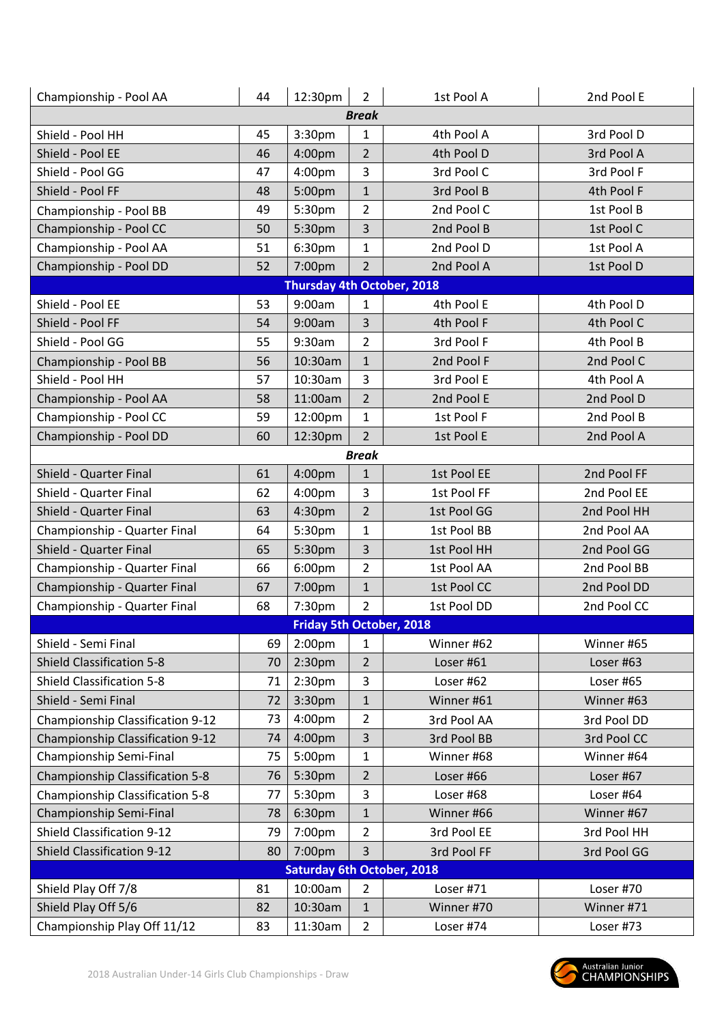| Championship - Pool AA                  | 44 | 12:30pm                           | $\overline{2}$ | 1st Pool A  | 2nd Pool E  |  |  |  |  |
|-----------------------------------------|----|-----------------------------------|----------------|-------------|-------------|--|--|--|--|
| <b>Break</b>                            |    |                                   |                |             |             |  |  |  |  |
| Shield - Pool HH                        | 45 | 3:30pm                            | 1              | 4th Pool A  | 3rd Pool D  |  |  |  |  |
| Shield - Pool EE                        | 46 | 4:00pm                            | 2              | 4th Pool D  | 3rd Pool A  |  |  |  |  |
| Shield - Pool GG                        | 47 | 4:00pm                            | 3              | 3rd Pool C  | 3rd Pool F  |  |  |  |  |
| Shield - Pool FF                        | 48 | 5:00pm                            | $\mathbf{1}$   | 3rd Pool B  | 4th Pool F  |  |  |  |  |
| Championship - Pool BB                  | 49 | 5:30pm                            | $\overline{2}$ | 2nd Pool C  | 1st Pool B  |  |  |  |  |
| Championship - Pool CC                  | 50 | 5:30pm                            | 3              | 2nd Pool B  | 1st Pool C  |  |  |  |  |
| Championship - Pool AA                  | 51 | 6:30pm                            | $\mathbf{1}$   | 2nd Pool D  | 1st Pool A  |  |  |  |  |
| Championship - Pool DD                  | 52 | 7:00pm                            | $\overline{2}$ | 2nd Pool A  | 1st Pool D  |  |  |  |  |
|                                         |    | <b>Thursday 4th October, 2018</b> |                |             |             |  |  |  |  |
| Shield - Pool EE                        | 53 | 9:00am                            | 1              | 4th Pool E  | 4th Pool D  |  |  |  |  |
| Shield - Pool FF                        | 54 | 9:00am                            | 3              | 4th Pool F  | 4th Pool C  |  |  |  |  |
| Shield - Pool GG                        | 55 | 9:30am                            | $\overline{2}$ | 3rd Pool F  | 4th Pool B  |  |  |  |  |
| Championship - Pool BB                  | 56 | 10:30am                           | $\mathbf{1}$   | 2nd Pool F  | 2nd Pool C  |  |  |  |  |
| Shield - Pool HH                        | 57 | 10:30am                           | 3              | 3rd Pool E  | 4th Pool A  |  |  |  |  |
| Championship - Pool AA                  | 58 | 11:00am                           | $\overline{2}$ | 2nd Pool E  | 2nd Pool D  |  |  |  |  |
| Championship - Pool CC                  | 59 | 12:00pm                           | $\mathbf{1}$   | 1st Pool F  | 2nd Pool B  |  |  |  |  |
| Championship - Pool DD                  | 60 | 12:30pm                           | $\overline{2}$ | 1st Pool E  | 2nd Pool A  |  |  |  |  |
|                                         |    |                                   | <b>Break</b>   |             |             |  |  |  |  |
| Shield - Quarter Final                  | 61 | 4:00pm                            | 1              | 1st Pool EE | 2nd Pool FF |  |  |  |  |
| Shield - Quarter Final                  | 62 | 4:00pm                            | 3              | 1st Pool FF | 2nd Pool EE |  |  |  |  |
| Shield - Quarter Final                  | 63 | 4:30pm                            | $\overline{2}$ | 1st Pool GG | 2nd Pool HH |  |  |  |  |
| Championship - Quarter Final            | 64 | 5:30pm                            | 1              | 1st Pool BB | 2nd Pool AA |  |  |  |  |
| Shield - Quarter Final                  | 65 | 5:30pm                            | 3              | 1st Pool HH | 2nd Pool GG |  |  |  |  |
| Championship - Quarter Final            | 66 | 6:00 <sub>pm</sub>                | $\overline{2}$ | 1st Pool AA | 2nd Pool BB |  |  |  |  |
| Championship - Quarter Final            | 67 | 7:00pm                            | $\mathbf{1}$   | 1st Pool CC | 2nd Pool DD |  |  |  |  |
| Championship - Quarter Final            | 68 | 7:30pm                            | $\overline{2}$ | 1st Pool DD | 2nd Pool CC |  |  |  |  |
|                                         |    | <b>Friday 5th October, 2018</b>   |                |             |             |  |  |  |  |
| Shield - Semi Final                     | 69 | 2:00 <sub>pm</sub>                | 1              | Winner #62  | Winner #65  |  |  |  |  |
| <b>Shield Classification 5-8</b>        | 70 | 2:30 <sub>pm</sub>                | $\overline{2}$ | Loser #61   | Loser #63   |  |  |  |  |
| <b>Shield Classification 5-8</b>        | 71 | 2:30 <sub>pm</sub>                | 3              | Loser #62   | Loser #65   |  |  |  |  |
| Shield - Semi Final                     | 72 | 3:30 <sub>pm</sub>                | $\mathbf{1}$   | Winner #61  | Winner #63  |  |  |  |  |
| Championship Classification 9-12        | 73 | 4:00pm                            | $\overline{2}$ | 3rd Pool AA | 3rd Pool DD |  |  |  |  |
| <b>Championship Classification 9-12</b> | 74 | 4:00pm                            | 3              | 3rd Pool BB | 3rd Pool CC |  |  |  |  |
| Championship Semi-Final                 | 75 | 5:00pm                            | $\mathbf{1}$   | Winner #68  | Winner #64  |  |  |  |  |
| <b>Championship Classification 5-8</b>  | 76 | 5:30pm                            | $\overline{2}$ | Loser #66   | Loser #67   |  |  |  |  |
| <b>Championship Classification 5-8</b>  | 77 | 5:30pm                            | 3              | Loser #68   | Loser #64   |  |  |  |  |
| Championship Semi-Final                 | 78 | 6:30pm                            | $\mathbf{1}$   | Winner #66  | Winner #67  |  |  |  |  |
| <b>Shield Classification 9-12</b>       | 79 | 7:00pm                            | 2              | 3rd Pool EE | 3rd Pool HH |  |  |  |  |
| <b>Shield Classification 9-12</b>       | 80 | 7:00pm                            | 3              | 3rd Pool FF | 3rd Pool GG |  |  |  |  |
| <b>Saturday 6th October, 2018</b>       |    |                                   |                |             |             |  |  |  |  |
| Shield Play Off 7/8                     | 81 | 10:00am                           | 2              | Loser #71   | Loser #70   |  |  |  |  |
| Shield Play Off 5/6                     | 82 | 10:30am                           | $\mathbf{1}$   | Winner #70  | Winner #71  |  |  |  |  |
| Championship Play Off 11/12             | 83 | 11:30am                           | $\overline{2}$ | Loser #74   | Loser #73   |  |  |  |  |